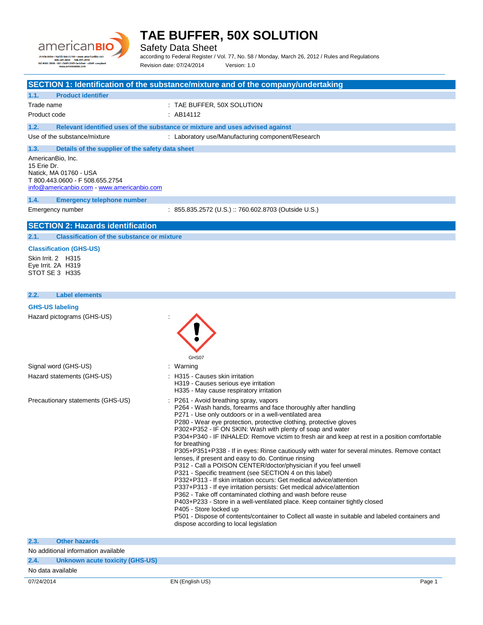

Safety Data Sheet

according to Federal Register / Vol. 77, No. 58 / Monday, March 26, 2012 / Rules and Regulations Revision date: 07/24/2014 Version: 1.0

## **SECTION 1: Identification of the substance/mixture and of the company/undertaking**

#### **1.1. Product identifier**

Trade name  $\qquad \qquad :$  TAE BUFFER, 50X SOLUTION Product code : AB14112

**1.2. Relevant identified uses of the substance or mixture and uses advised against**

Use of the substance/mixture  $\qquad \qquad :$  Laboratory use/Manufacturing component/Research

## **1.3. Details of the supplier of the safety data sheet**

AmericanBio, Inc. 15 Erie Dr. Natick, MA 01760 - USA T 800.443.0600 - F 508.655.2754 [info@americanbio.com](mailto:info@americanbio.com) - <www.americanbio.com>

#### **1.4. Emergency telephone number**

Emergency number : 855.835.2572 (U.S.) :: 760.602.8703 (Outside U.S.)

## **SECTION 2: Hazards identification**

**2.1. Classification of the substance or mixture**

#### **Classification (GHS-US)**

Skin Irrit. 2 H315 Eye Irrit. 2A H319 STOT SE 3 H335

#### **2.2. Label elements**

| намя менюню                       |                                                                                                                                                                                                                                                                                                                                                                                                                                                                                                                                                                                                                                                                                                                                                                                                                                                                                                                                                                                                                                                                                                                                                                                   |
|-----------------------------------|-----------------------------------------------------------------------------------------------------------------------------------------------------------------------------------------------------------------------------------------------------------------------------------------------------------------------------------------------------------------------------------------------------------------------------------------------------------------------------------------------------------------------------------------------------------------------------------------------------------------------------------------------------------------------------------------------------------------------------------------------------------------------------------------------------------------------------------------------------------------------------------------------------------------------------------------------------------------------------------------------------------------------------------------------------------------------------------------------------------------------------------------------------------------------------------|
| <b>GHS-US labeling</b>            |                                                                                                                                                                                                                                                                                                                                                                                                                                                                                                                                                                                                                                                                                                                                                                                                                                                                                                                                                                                                                                                                                                                                                                                   |
| Hazard pictograms (GHS-US)        | GHS07                                                                                                                                                                                                                                                                                                                                                                                                                                                                                                                                                                                                                                                                                                                                                                                                                                                                                                                                                                                                                                                                                                                                                                             |
| Signal word (GHS-US)              | : Warning                                                                                                                                                                                                                                                                                                                                                                                                                                                                                                                                                                                                                                                                                                                                                                                                                                                                                                                                                                                                                                                                                                                                                                         |
| Hazard statements (GHS-US)        | : H315 - Causes skin irritation<br>H319 - Causes serious eye irritation<br>H335 - May cause respiratory irritation                                                                                                                                                                                                                                                                                                                                                                                                                                                                                                                                                                                                                                                                                                                                                                                                                                                                                                                                                                                                                                                                |
| Precautionary statements (GHS-US) | : P261 - Avoid breathing spray, vapors<br>P264 - Wash hands, forearms and face thoroughly after handling<br>P271 - Use only outdoors or in a well-ventilated area<br>P280 - Wear eye protection, protective clothing, protective gloves<br>P302+P352 - IF ON SKIN: Wash with plenty of soap and water<br>P304+P340 - IF INHALED: Remove victim to fresh air and keep at rest in a position comfortable<br>for breathing<br>P305+P351+P338 - If in eyes: Rinse cautiously with water for several minutes. Remove contact<br>lenses, if present and easy to do. Continue rinsing<br>P312 - Call a POISON CENTER/doctor/physician if you feel unwell<br>P321 - Specific treatment (see SECTION 4 on this label)<br>P332+P313 - If skin irritation occurs: Get medical advice/attention<br>P337+P313 - If eye irritation persists: Get medical advice/attention<br>P362 - Take off contaminated clothing and wash before reuse<br>P403+P233 - Store in a well-ventilated place. Keep container tightly closed<br>P405 - Store locked up<br>P501 - Dispose of contents/container to Collect all waste in suitable and labeled containers and<br>dispose according to local legislation |

| 07/24/2014        |                                     | EN (English US) | Page 1 |
|-------------------|-------------------------------------|-----------------|--------|
| No data available |                                     |                 |        |
| 2.4.              | Unknown acute toxicity (GHS-US)     |                 |        |
|                   | No additional information available |                 |        |
| 2.3.              | <b>Other hazards</b>                |                 |        |
|                   |                                     |                 |        |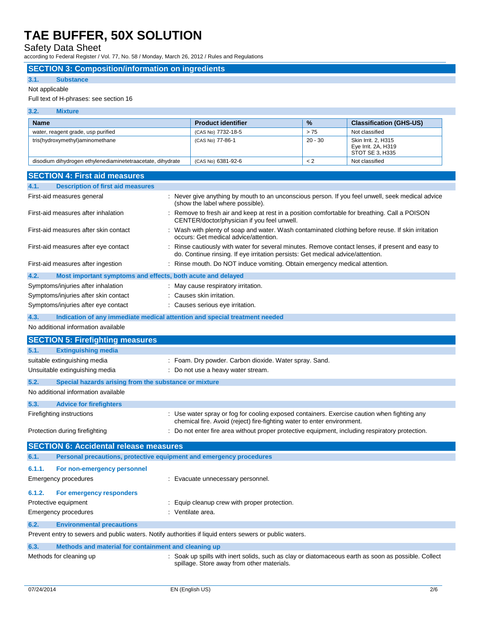Safety Data Sheet

according to Federal Register / Vol. 77, No. 58 / Monday, March 26, 2012 / Rules and Regulations

## **SECTION 3: Composition/information on ingredients**

## **3.1. Substance**

#### Not applicable

## Full text of H-phrases: see section 16

| 3.2.<br><b>Mixture</b>                                     |                           |               |                                                               |
|------------------------------------------------------------|---------------------------|---------------|---------------------------------------------------------------|
| <b>Name</b>                                                | <b>Product identifier</b> | $\frac{0}{2}$ | <b>Classification (GHS-US)</b>                                |
| water, reagent grade, usp purified                         | (CAS No) 7732-18-5        | > 75          | Not classified                                                |
| tris(hydroxymethyl)aminomethane                            | (CAS No) 77-86-1          | 20 - 30       | Skin Irrit, 2, H315<br>Eye Irrit. 2A, H319<br>STOT SE 3, H335 |
| disodium dihydrogen ethylenediaminetetraacetate, dihydrate | (CAS No) 6381-92-6        | $\lt 2$       | Not classified                                                |

| <b>SECTION 4: First aid measures</b>                                                                    |                                                                                                                                                                                     |  |
|---------------------------------------------------------------------------------------------------------|-------------------------------------------------------------------------------------------------------------------------------------------------------------------------------------|--|
| 4.1.<br><b>Description of first aid measures</b>                                                        |                                                                                                                                                                                     |  |
| First-aid measures general                                                                              | : Never give anything by mouth to an unconscious person. If you feel unwell, seek medical advice<br>(show the label where possible).                                                |  |
| First-aid measures after inhalation                                                                     | : Remove to fresh air and keep at rest in a position comfortable for breathing. Call a POISON<br>CENTER/doctor/physician if you feel unwell.                                        |  |
| First-aid measures after skin contact                                                                   | : Wash with plenty of soap and water. Wash contaminated clothing before reuse. If skin irritation<br>occurs: Get medical advice/attention.                                          |  |
| First-aid measures after eye contact                                                                    | : Rinse cautiously with water for several minutes. Remove contact lenses, if present and easy to<br>do. Continue rinsing. If eye irritation persists: Get medical advice/attention. |  |
| First-aid measures after ingestion                                                                      | : Rinse mouth. Do NOT induce vomiting. Obtain emergency medical attention.                                                                                                          |  |
| 4.2.<br>Most important symptoms and effects, both acute and delayed                                     |                                                                                                                                                                                     |  |
| Symptoms/injuries after inhalation                                                                      | : May cause respiratory irritation.                                                                                                                                                 |  |
| Symptoms/injuries after skin contact                                                                    | : Causes skin irritation.                                                                                                                                                           |  |
| Symptoms/injuries after eye contact                                                                     | : Causes serious eye irritation.                                                                                                                                                    |  |
| 4.3.<br>Indication of any immediate medical attention and special treatment needed                      |                                                                                                                                                                                     |  |
| No additional information available                                                                     |                                                                                                                                                                                     |  |
| <b>SECTION 5: Firefighting measures</b>                                                                 |                                                                                                                                                                                     |  |
| 5.1.<br><b>Extinguishing media</b>                                                                      |                                                                                                                                                                                     |  |
| suitable extinguishing media                                                                            | : Foam. Dry powder. Carbon dioxide. Water spray. Sand.                                                                                                                              |  |
| Unsuitable extinguishing media<br>: Do not use a heavy water stream.                                    |                                                                                                                                                                                     |  |
| 5.2.<br>Special hazards arising from the substance or mixture                                           |                                                                                                                                                                                     |  |
| No additional information available                                                                     |                                                                                                                                                                                     |  |
| 5.3.<br><b>Advice for firefighters</b>                                                                  |                                                                                                                                                                                     |  |
| Firefighting instructions                                                                               | : Use water spray or fog for cooling exposed containers. Exercise caution when fighting any<br>chemical fire. Avoid (reject) fire-fighting water to enter environment.              |  |
| Protection during firefighting                                                                          | : Do not enter fire area without proper protective equipment, including respiratory protection.                                                                                     |  |
| <b>SECTION 6: Accidental release measures</b>                                                           |                                                                                                                                                                                     |  |
| Personal precautions, protective equipment and emergency procedures<br>6.1.                             |                                                                                                                                                                                     |  |
| 6.1.1.<br>For non-emergency personnel                                                                   |                                                                                                                                                                                     |  |
| <b>Emergency procedures</b>                                                                             | : Evacuate unnecessary personnel.                                                                                                                                                   |  |
| 6.1.2.<br>For emergency responders                                                                      |                                                                                                                                                                                     |  |
| Protective equipment<br>: Equip cleanup crew with proper protection.                                    |                                                                                                                                                                                     |  |
| : Ventilate area.<br><b>Emergency procedures</b>                                                        |                                                                                                                                                                                     |  |
| 6.2.<br><b>Environmental precautions</b>                                                                |                                                                                                                                                                                     |  |
| Prevent entry to sewers and public waters. Notify authorities if liquid enters sewers or public waters. |                                                                                                                                                                                     |  |
| 6.3.<br>Methods and material for containment and cleaning up                                            |                                                                                                                                                                                     |  |
| Methods for cleaning up                                                                                 | : Soak up spills with inert solids, such as clay or diatomaceous earth as soon as possible. Collect<br>spillage. Store away from other materials.                                   |  |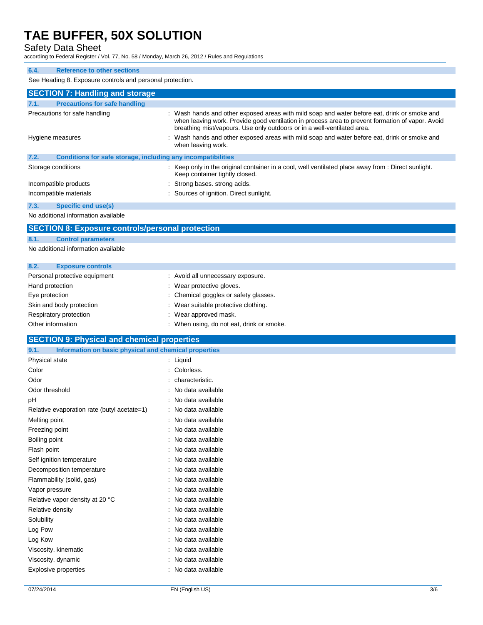Safety Data Sheet

according to Federal Register / Vol. 77, No. 58 / Monday, March 26, 2012 / Rules and Regulations

## **6.4. Reference to other sections**

See Heading 8. Exposure controls and personal protection.

|      | <b>SECTION 7: Handling and storage</b>                       |                                                                                                                                                                                                                                                                             |
|------|--------------------------------------------------------------|-----------------------------------------------------------------------------------------------------------------------------------------------------------------------------------------------------------------------------------------------------------------------------|
| 7.1. | <b>Precautions for safe handling</b>                         |                                                                                                                                                                                                                                                                             |
|      | Precautions for safe handling                                | : Wash hands and other exposed areas with mild soap and water before eat, drink or smoke and<br>when leaving work. Provide good ventilation in process area to prevent formation of vapor. Avoid<br>breathing mist/vapours. Use only outdoors or in a well-ventilated area. |
|      | Hygiene measures                                             | : Wash hands and other exposed areas with mild soap and water before eat, drink or smoke and<br>when leaving work.                                                                                                                                                          |
| 7.2. | Conditions for safe storage, including any incompatibilities |                                                                                                                                                                                                                                                                             |
|      | Storage conditions                                           | : Keep only in the original container in a cool, well ventilated place away from : Direct sunlight.<br>Keep container tightly closed.                                                                                                                                       |
|      | Incompatible products                                        | : Strong bases, strong acids.                                                                                                                                                                                                                                               |
|      | Incompatible materials                                       | : Sources of ignition. Direct sunlight.                                                                                                                                                                                                                                     |
| 7.3. | Specific end use(s)                                          |                                                                                                                                                                                                                                                                             |

No additional information available

## **SECTION 8: Exposure controls/personal protection**

**8.1. Control parameters**

No additional information available

| 8.2.              | <b>Exposure controls</b>      |                                           |
|-------------------|-------------------------------|-------------------------------------------|
|                   | Personal protective equipment | : Avoid all unnecessary exposure.         |
| Hand protection   |                               | : Wear protective gloves.                 |
| Eye protection    |                               | : Chemical goggles or safety glasses.     |
|                   | Skin and body protection      | : Wear suitable protective clothing.      |
|                   | Respiratory protection        | : Wear approved mask.                     |
| Other information |                               | : When using, do not eat, drink or smoke. |

## **SECTION 9: Physical and chemical properties**

| <u>ULUTION 9. THYSICAI AND CHENNEAL PLOPERIES</u>             |                     |     |
|---------------------------------------------------------------|---------------------|-----|
| 9.1.<br>Information on basic physical and chemical properties |                     |     |
| Physical state                                                | $:$ Liquid          |     |
| Color                                                         | : Colorless.        |     |
| Odor                                                          | : characteristic.   |     |
| Odor threshold                                                | : No data available |     |
| рH                                                            | : No data available |     |
| Relative evaporation rate (butyl acetate=1)                   | : No data available |     |
| Melting point                                                 | : No data available |     |
| Freezing point                                                | : No data available |     |
| Boiling point                                                 | : No data available |     |
| Flash point                                                   | : No data available |     |
| Self ignition temperature                                     | : No data available |     |
| Decomposition temperature                                     | : No data available |     |
| Flammability (solid, gas)                                     | : No data available |     |
| Vapor pressure                                                | : No data available |     |
| Relative vapor density at 20 °C                               | : No data available |     |
| Relative density                                              | : No data available |     |
| Solubility                                                    | : No data available |     |
| Log Pow                                                       | : No data available |     |
| Log Kow                                                       | : No data available |     |
| Viscosity, kinematic                                          | : No data available |     |
| Viscosity, dynamic                                            | : No data available |     |
| Explosive properties                                          | : No data available |     |
|                                                               |                     |     |
| 07/24/2014                                                    | EN (English US)     | 3/6 |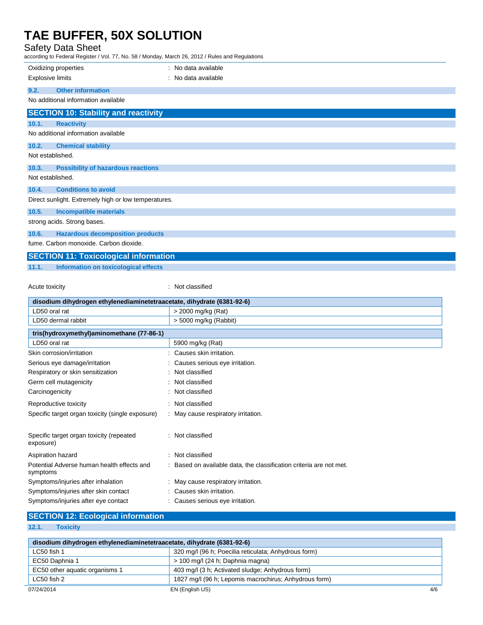## Safety Data Sheet

according to Federal Register / Vol. 77, No. 58 / Monday, March 26, 2012 / Rules and Regulations

| $10001$ and $10001$ and $100000$ and $11, 100, 001$ mondary, materially, $201$ and $1000$ and $1000$ and $1000$ |                     |  |
|-----------------------------------------------------------------------------------------------------------------|---------------------|--|
| Oxidizing properties                                                                                            | : No data available |  |
| <b>Explosive limits</b>                                                                                         | : No data available |  |
| <b>Other information</b><br>9.2.                                                                                |                     |  |
| No additional information available                                                                             |                     |  |
| <b>SECTION 10: Stability and reactivity</b>                                                                     |                     |  |
| 10.1.<br><b>Reactivity</b>                                                                                      |                     |  |
| No additional information available                                                                             |                     |  |
| 10.2.<br><b>Chemical stability</b>                                                                              |                     |  |
| Not established.                                                                                                |                     |  |
| 10.3.<br><b>Possibility of hazardous reactions</b>                                                              |                     |  |
| Not established.                                                                                                |                     |  |
| 10.4.<br><b>Conditions to avoid</b>                                                                             |                     |  |
| Direct sunlight. Extremely high or low temperatures.                                                            |                     |  |
| 10.5.<br><b>Incompatible materials</b>                                                                          |                     |  |
| strong acids. Strong bases.                                                                                     |                     |  |
| 10.6.<br><b>Hazardous decomposition products</b>                                                                |                     |  |
| fume. Carbon monoxide. Carbon dioxide.                                                                          |                     |  |
| <b>SECTION 11: Toxicological information</b>                                                                    |                     |  |

**11.1. Information on toxicological effects**

## Acute toxicity **in the case of the case of the case of the case of the case of the case of the case of the case of the case of the case of the case of the case of the case of the case of the case of the case of the case of**

| disodium dihydrogen ethylenediaminetetraacetate, dihydrate (6381-92-6) |                                                                   |  |
|------------------------------------------------------------------------|-------------------------------------------------------------------|--|
| LD50 oral rat                                                          | > 2000 mg/kg (Rat)                                                |  |
| LD50 dermal rabbit                                                     | > 5000 mg/kg (Rabbit)                                             |  |
| tris(hydroxymethyl)aminomethane (77-86-1)                              |                                                                   |  |
| LD50 oral rat                                                          | 5900 mg/kg (Rat)                                                  |  |
| Skin corrosion/irritation                                              | Causes skin irritation.                                           |  |
| Serious eye damage/irritation                                          | Causes serious eye irritation.                                    |  |
| Respiratory or skin sensitization                                      | Not classified                                                    |  |
| Germ cell mutagenicity                                                 | Not classified                                                    |  |
| Carcinogenicity                                                        | Not classified                                                    |  |
| Reproductive toxicity                                                  | Not classified                                                    |  |
| Specific target organ toxicity (single exposure)                       | : May cause respiratory irritation.                               |  |
| Specific target organ toxicity (repeated<br>exposure)                  | : Not classified                                                  |  |
| Aspiration hazard                                                      | Not classified                                                    |  |
| Potential Adverse human health effects and<br>symptoms                 | Based on available data, the classification criteria are not met. |  |
| Symptoms/injuries after inhalation                                     | : May cause respiratory irritation.                               |  |
| Symptoms/injuries after skin contact                                   | Causes skin irritation.                                           |  |
| Symptoms/injuries after eye contact                                    | Causes serious eye irritation.                                    |  |

## **SECTION 12: Ecological information**

## **12.1. Toxicity**

L.

| disodium dihydrogen ethylenediaminetetraacetate, dihydrate (6381-92-6) |                                                       |     |
|------------------------------------------------------------------------|-------------------------------------------------------|-----|
| LC50 fish 1                                                            | 320 mg/l (96 h; Poecilia reticulata; Anhydrous form)  |     |
| EC50 Daphnia 1                                                         | > 100 mg/l (24 h; Daphnia magna)                      |     |
| EC50 other aquatic organisms 1                                         | 403 mg/l (3 h; Activated sludge; Anhydrous form)      |     |
| LC50 fish 2                                                            | 1827 mg/l (96 h; Lepomis macrochirus; Anhydrous form) |     |
| 07/24/2014<br>EN (English US)                                          |                                                       | 4/6 |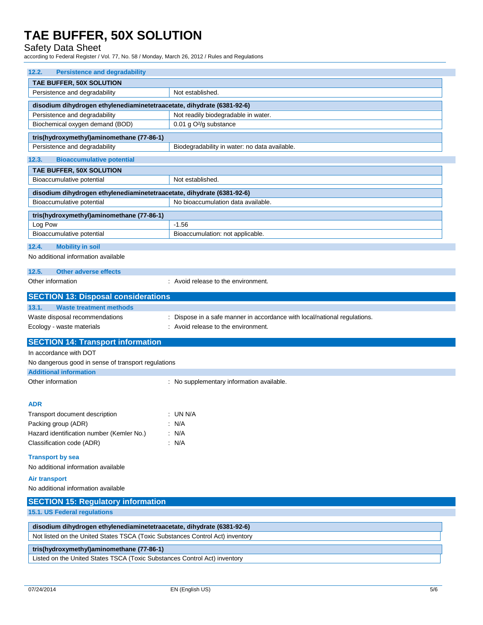Safety Data Sheet

according to Federal Register / Vol. 77, No. 58 / Monday, March 26, 2012 / Rules and Regulations

| 12.2.<br><b>Persistence and degradability</b>                          |                                                                               |  |  |
|------------------------------------------------------------------------|-------------------------------------------------------------------------------|--|--|
| TAE BUFFER, 50X SOLUTION                                               |                                                                               |  |  |
| Persistence and degradability<br>Not established.                      |                                                                               |  |  |
| disodium dihydrogen ethylenediaminetetraacetate, dihydrate (6381-92-6) |                                                                               |  |  |
| Persistence and degradability                                          | Not readily biodegradable in water.                                           |  |  |
| Biochemical oxygen demand (BOD)<br>0.01 g O <sup>2</sup> /g substance  |                                                                               |  |  |
| tris(hydroxymethyl)aminomethane (77-86-1)                              |                                                                               |  |  |
| Persistence and degradability                                          | Biodegradability in water: no data available.                                 |  |  |
|                                                                        |                                                                               |  |  |
| 12.3.<br><b>Bioaccumulative potential</b>                              |                                                                               |  |  |
| TAE BUFFER, 50X SOLUTION                                               |                                                                               |  |  |
| Bioaccumulative potential                                              | Not established.                                                              |  |  |
| disodium dihydrogen ethylenediaminetetraacetate, dihydrate (6381-92-6) |                                                                               |  |  |
| Bioaccumulative potential                                              | No bioaccumulation data available.                                            |  |  |
| tris(hydroxymethyl)aminomethane (77-86-1)                              |                                                                               |  |  |
| Log Pow                                                                | $-1.56$                                                                       |  |  |
| Bioaccumulative potential                                              | Bioaccumulation: not applicable.                                              |  |  |
| 12.4.<br><b>Mobility in soil</b>                                       |                                                                               |  |  |
| No additional information available                                    |                                                                               |  |  |
|                                                                        |                                                                               |  |  |
| 12.5.<br><b>Other adverse effects</b>                                  |                                                                               |  |  |
| Other information                                                      | : Avoid release to the environment.                                           |  |  |
| <b>SECTION 13: Disposal considerations</b>                             |                                                                               |  |  |
| 13.1.<br><b>Waste treatment methods</b>                                |                                                                               |  |  |
| Waste disposal recommendations                                         | : Dispose in a safe manner in accordance with local/national regulations.     |  |  |
| Ecology - waste materials                                              | : Avoid release to the environment.                                           |  |  |
| <b>SECTION 14: Transport information</b>                               |                                                                               |  |  |
| In accordance with DOT                                                 |                                                                               |  |  |
| No dangerous good in sense of transport regulations                    |                                                                               |  |  |
| <b>Additional information</b>                                          |                                                                               |  |  |
| Other information                                                      | : No supplementary information available.                                     |  |  |
|                                                                        |                                                                               |  |  |
| <b>ADR</b>                                                             |                                                                               |  |  |
| Transport document description                                         | : UN N/A                                                                      |  |  |
| Packing group (ADR)                                                    | $\therefore$ N/A                                                              |  |  |
| Hazard identification number (Kemler No.)                              | : N/A                                                                         |  |  |
| Classification code (ADR)                                              | : N/A                                                                         |  |  |
|                                                                        |                                                                               |  |  |
| <b>Transport by sea</b>                                                |                                                                               |  |  |
| No additional information available                                    |                                                                               |  |  |
| <b>Air transport</b>                                                   |                                                                               |  |  |
| No additional information available                                    |                                                                               |  |  |
| <b>SECTION 15: Regulatory information</b>                              |                                                                               |  |  |
| 15.1. US Federal regulations                                           |                                                                               |  |  |
|                                                                        |                                                                               |  |  |
| disodium dihydrogen ethylenediaminetetraacetate, dihydrate (6381-92-6) |                                                                               |  |  |
|                                                                        | Not listed on the United States TSCA (Toxic Substances Control Act) inventory |  |  |
| tris(hydroxymethyl)aminomethane (77-86-1)                              |                                                                               |  |  |
|                                                                        | Listed on the United States TSCA (Toxic Substances Control Act) inventory     |  |  |
|                                                                        |                                                                               |  |  |